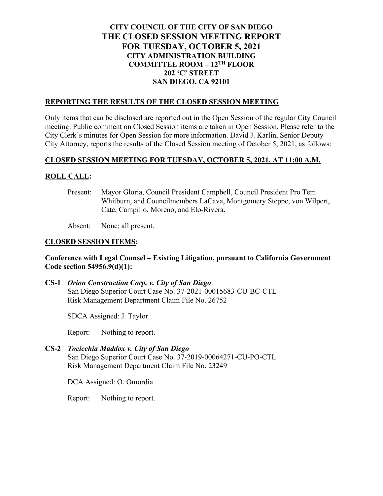# **CITY COUNCIL OF THE CITY OF SAN DIEGO THE CLOSED SESSION MEETING REPORT FOR TUESDAY, OCTOBER 5, 2021 CITY ADMINISTRATION BUILDING COMMITTEE ROOM – 12TH FLOOR 202 'C' STREET SAN DIEGO, CA 92101**

#### **REPORTING THE RESULTS OF THE CLOSED SESSION MEETING**

Only items that can be disclosed are reported out in the Open Session of the regular City Council meeting. Public comment on Closed Session items are taken in Open Session. Please refer to the City Clerk's minutes for Open Session for more information. David J. Karlin, Senior Deputy City Attorney, reports the results of the Closed Session meeting of October 5, 2021, as follows:

### **CLOSED SESSION MEETING FOR TUESDAY, OCTOBER 5, 2021, AT 11:00 A.M.**

### **ROLL CALL:**

Present: Mayor Gloria, Council President Campbell, Council President Pro Tem Whitburn, and Councilmembers LaCava, Montgomery Steppe, von Wilpert, Cate, Campillo, Moreno, and Elo-Rivera.

Absent: None; all present.

### **CLOSED SESSION ITEMS:**

### **Conference with Legal Counsel – Existing Litigation, pursuant to California Government Code section 54956.9(d)(1):**

**CS-1** *Orion Construction Corp. v. City of San Diego* San Diego Superior Court Case No. 37·2021-00015683-CU-BC-CTL Risk Management Department Claim File No. 26752

SDCA Assigned: J. Taylor

Report: Nothing to report.

**CS-2** *Tocicchia Maddox v. City of San Diego* San Diego Superior Court Case No. 37-2019-00064271-CU-PO-CTL Risk Management Department Claim File No. 23249

DCA Assigned: O. Omordia

Report: Nothing to report.